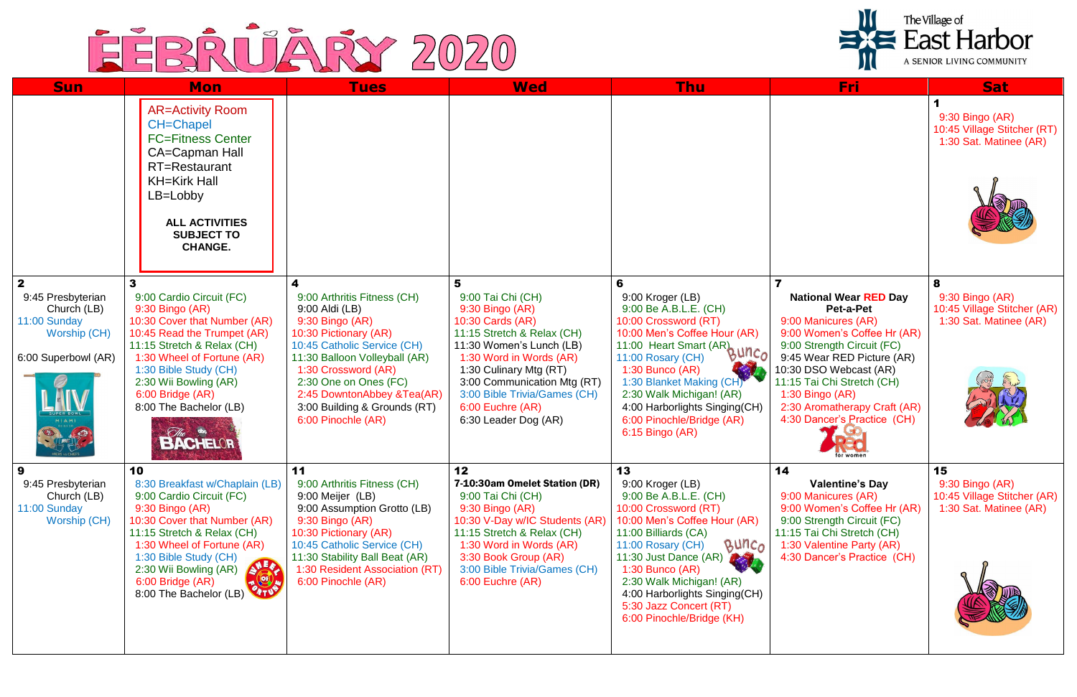

| <b>Sun</b>                                                                                                                    | <b>Mon</b>                                                                                                                                                                                                                                                                                                      | <b>Tues</b>                                                                                                                                                                                                                                                                                   | <b>Wed</b>                                                                                                                                                                                                                                                                                  | Thu                                                                                                                                                                                                                                                                                                                                         | Fri:                                                                                                                                                                                                                                                                                                  | <b>Sat</b>                                                                       |
|-------------------------------------------------------------------------------------------------------------------------------|-----------------------------------------------------------------------------------------------------------------------------------------------------------------------------------------------------------------------------------------------------------------------------------------------------------------|-----------------------------------------------------------------------------------------------------------------------------------------------------------------------------------------------------------------------------------------------------------------------------------------------|---------------------------------------------------------------------------------------------------------------------------------------------------------------------------------------------------------------------------------------------------------------------------------------------|---------------------------------------------------------------------------------------------------------------------------------------------------------------------------------------------------------------------------------------------------------------------------------------------------------------------------------------------|-------------------------------------------------------------------------------------------------------------------------------------------------------------------------------------------------------------------------------------------------------------------------------------------------------|----------------------------------------------------------------------------------|
|                                                                                                                               | <b>AR=Activity Room</b><br><b>CH=Chapel</b><br><b>FC=Fitness Center</b><br>CA=Capman Hall<br>RT=Restaurant<br><b>KH=Kirk Hall</b><br>$LB = Lobbv$<br><b>ALL ACTIVITIES</b><br><b>SUBJECT TO</b><br><b>CHANGE.</b>                                                                                               |                                                                                                                                                                                                                                                                                               |                                                                                                                                                                                                                                                                                             |                                                                                                                                                                                                                                                                                                                                             |                                                                                                                                                                                                                                                                                                       | 9:30 Bingo (AR)<br>10:45 Village Stitcher (RT)<br>1:30 Sat. Matinee (AR)         |
| $\mathbf{2}$<br>9:45 Presbyterian<br>Church (LB)<br>11:00 Sunday<br>Worship (CH)<br>6:00 Superbowl (AR)<br>MIAMI<br>$\bullet$ | 9:00 Cardio Circuit (FC)<br>9:30 Bingo (AR)<br>10:30 Cover that Number (AR)<br>10:45 Read the Trumpet (AR)<br>11:15 Stretch & Relax (CH)<br>1:30 Wheel of Fortune (AR)<br>1:30 Bible Study (CH)<br>2:30 Wii Bowling (AR)<br>6:00 Bridge (AR)<br>8:00 The Bachelor (LB)<br><i>Che</i> and The BACHELOR           | 9:00 Arthritis Fitness (CH)<br>9:00 Aldi (LB)<br>9:30 Bingo (AR)<br>10:30 Pictionary (AR)<br>10:45 Catholic Service (CH)<br>11:30 Balloon Volleyball (AR)<br>1:30 Crossword (AR)<br>2:30 One on Ones (FC)<br>2:45 DowntonAbbey &Tea(AR)<br>3:00 Building & Grounds (RT)<br>6:00 Pinochle (AR) | 5<br>9:00 Tai Chi (CH)<br>$9:30$ Bingo $(AR)$<br>10:30 Cards (AR)<br>11:15 Stretch & Relax (CH)<br>11:30 Women's Lunch (LB)<br>1:30 Word in Words (AR)<br>1:30 Culinary Mtg (RT)<br>3:00 Communication Mtg (RT)<br>3:00 Bible Trivia/Games (CH)<br>6:00 Euchre (AR)<br>6:30 Leader Dog (AR) | 6<br>9:00 Kroger (LB)<br>9:00 Be A.B.L.E. (CH)<br>10:00 Crossword (RT)<br>10:00 Men's Coffee Hour (AR)<br>11:00 Heart Smart (AR) $\mu$ n.<br>11:00 Rosary (CH)<br>$1:30$ Bunco (AR)<br>1:30 Blanket Making (CH)<br>2:30 Walk Michigan! (AR)<br>4:00 Harborlights Singing(CH)<br>6:00 Pinochle/Bridge (AR)<br>6:15 Bingo (AR)                | <b>National Wear RED Day</b><br>Pet-a-Pet<br>9:00 Manicures (AR)<br>9:00 Women's Coffee Hr (AR)<br>9:00 Strength Circuit (FC)<br>9:45 Wear RED Picture (AR)<br>10:30 DSO Webcast (AR)<br>11:15 Tai Chi Stretch (CH)<br>1:30 Bingo (AR)<br>2:30 Aromatherapy Craft (AR)<br>4:30 Dancer's Practice (CH) | 8<br>9:30 Bingo (AR)<br>10:45 Village Stitcher (AR)<br>1:30 Sat. Matinee (AR)    |
| 9:45 Presbyterian<br>Church (LB)<br>11:00 Sunday<br>Worship (CH)                                                              | 10<br>8:30 Breakfast w/Chaplain (LB)<br>9:00 Cardio Circuit (FC)<br>9:30 Bingo (AR)<br>10:30 Cover that Number (AR)<br>11:15 Stretch & Relax (CH)<br>1:30 Wheel of Fortune (AR)<br>1:30 Bible Study (CH)<br><b>SAR</b><br>2:30 Wii Bowling (AR)<br>$\blacksquare$<br>6:00 Bridge (AR)<br>8:00 The Bachelor (LB) | 11<br>9:00 Arthritis Fitness (CH)<br>9:00 Meijer (LB)<br>9:00 Assumption Grotto (LB)<br>9:30 Bingo (AR)<br>10:30 Pictionary (AR)<br>10:45 Catholic Service (CH)<br>11:30 Stability Ball Beat (AR)<br>1:30 Resident Association (RT)<br>6:00 Pinochle (AR)                                     | 12<br>7-10:30am Omelet Station (DR)<br>9:00 Tai Chi (CH)<br>9:30 Bingo (AR)<br>10:30 V-Day w/IC Students (AR)<br>11:15 Stretch & Relax (CH)<br>1:30 Word in Words (AR)<br>3:30 Book Group (AR)<br>3:00 Bible Trivia/Games (CH)<br>6:00 Euchre (AR)                                          | 13<br>9:00 Kroger (LB)<br>9:00 Be A.B.L.E. (CH)<br>10:00 Crossword (RT)<br>10:00 Men's Coffee Hour (AR)<br>11:00 Billiards (CA)<br>Bunc <sub>o</sub><br>11:00 Rosary (CH)<br>11:30 Just Dance (AR)<br>$1:30$ Bunco (AR)<br>2:30 Walk Michigan! (AR)<br>4:00 Harborlights Singing(CH)<br>5:30 Jazz Concert (RT)<br>6:00 Pinochle/Bridge (KH) | 14<br><b>Valentine's Day</b><br>9:00 Manicures (AR)<br>9:00 Women's Coffee Hr (AR)<br>9:00 Strength Circuit (FC)<br>11:15 Tai Chi Stretch (CH)<br>1:30 Valentine Party (AR)<br>4:30 Dancer's Practice (CH)                                                                                            | 15<br>$9:30$ Bingo (AR)<br>10:45 Village Stitcher (AR)<br>1:30 Sat. Matinee (AR) |